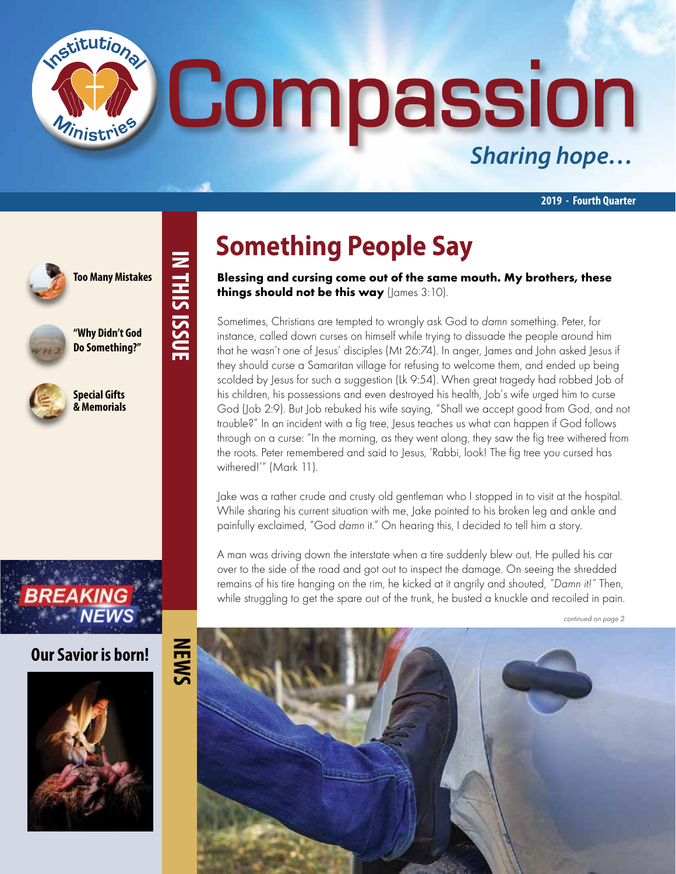# **Compassion** *Sharing hope…*

**2019 - Fourth Quarter**



**"Why Didn't God**

nstitutions

**Do Something?"**

**Too Many Mistakes**

**IN THIS ISSUE**

IN THIS ISSUE



**Special Gifts & Memorials**



#### **Our Savior is born!**



### **Something People Say**

Blessing and cursing come out of the same mouth. My brothers, these things should not be this way (James 3:10).

Sometimes, Christians are tempted to wrongly ask God to damn something. Peter, for instance, called down curses on himself while trying to dissuade the people around him that he wasn't one of Jesus' disciples (Mt 26:74). In anger, James and John asked Jesus if they should curse a Samaritan village for refusing to welcome them, and ended up being scolded by Jesus for such a suggestion (Lk 9:54). When great tragedy had robbed Job of his children, his possessions and even destroyed his health, Job's wife urged him to curse God (Job 2:9). But Job rebuked his wife saying, "Shall we accept good from God, and not trouble?" In an incident with a fig tree, Jesus teaches us what can happen if God follows through on a curse: "In the morning, as they went along, they saw the fig tree withered from the roots. Peter remembered and said to Jesus, 'Rabbi, look! The fig tree you cursed has withered!'" (Mark 11).

Jake was a rather crude and crusty old gentleman who I stopped in to visit at the hospital. While sharing his current situation with me, Jake pointed to his broken leg and ankle and painfully exclaimed, "God damn it." On hearing this, I decided to tell him a story.

A man was driving down the interstate when a tire suddenly blew out. He pulled his car over to the side of the road and got out to inspect the damage. On seeing the shredded remains of his tire hanging on the rim, he kicked at it angrily and shouted, "Damn it!" Then, while struggling to get the spare out of the trunk, he busted a knuckle and recoiled in pain.

continued on page 2

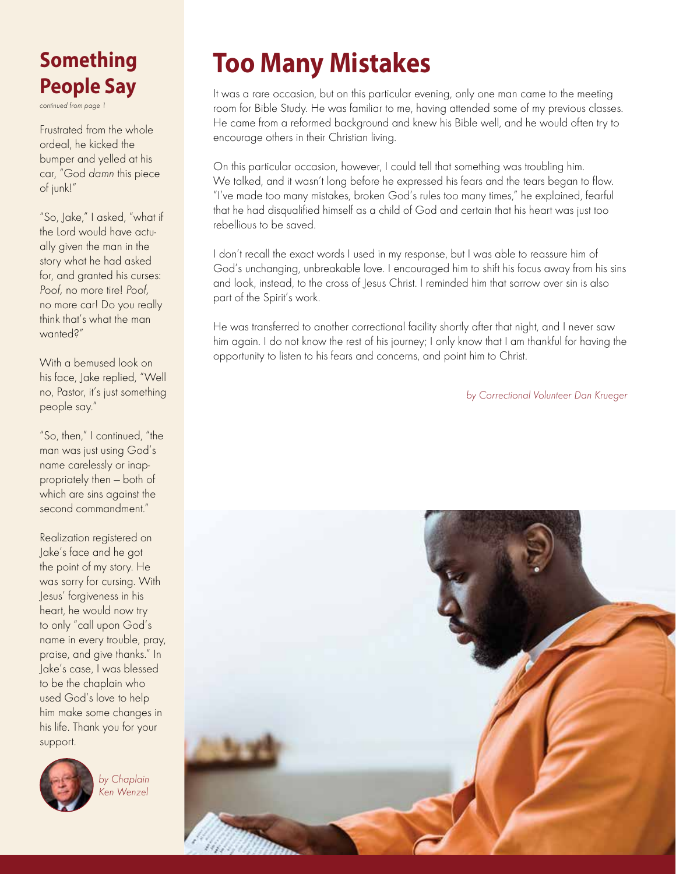#### **Something People Say**

continued from page 1

Frustrated from the whole ordeal, he kicked the bumper and yelled at his car, "God damn this piece of junk!"

"So, Jake," I asked, "what if the Lord would have actually given the man in the story what he had asked for, and granted his curses: Poof, no more tire! Poof, no more car! Do you really think that's what the man wanted?"

With a bemused look on his face, Jake replied, "Well no, Pastor, it's just something people say."

"So, then," I continued, "the man was just using God's name carelessly or inappropriately then — both of which are sins against the second commandment."

Realization registered on Jake's face and he got the point of my story. He was sorry for cursing. With Jesus' forgiveness in his heart, he would now try to only "call upon God's name in every trouble, pray, praise, and give thanks." In Jake's case, I was blessed to be the chaplain who used God's love to help him make some changes in his life. Thank you for your support.



by Chaplain Ken Wenzel

### **Too Many Mistakes**

It was a rare occasion, but on this particular evening, only one man came to the meeting room for Bible Study. He was familiar to me, having attended some of my previous classes. He came from a reformed background and knew his Bible well, and he would often try to encourage others in their Christian living.

On this particular occasion, however, I could tell that something was troubling him. We talked, and it wasn't long before he expressed his fears and the tears began to flow. "I've made too many mistakes, broken God's rules too many times," he explained, fearful that he had disqualified himself as a child of God and certain that his heart was just too rebellious to be saved.

I don't recall the exact words I used in my response, but I was able to reassure him of God's unchanging, unbreakable love. I encouraged him to shift his focus away from his sins and look, instead, to the cross of Jesus Christ. I reminded him that sorrow over sin is also part of the Spirit's work.

He was transferred to another correctional facility shortly after that night, and I never saw him again. I do not know the rest of his journey; I only know that I am thankful for having the opportunity to listen to his fears and concerns, and point him to Christ.

by Correctional Volunteer Dan Krueger

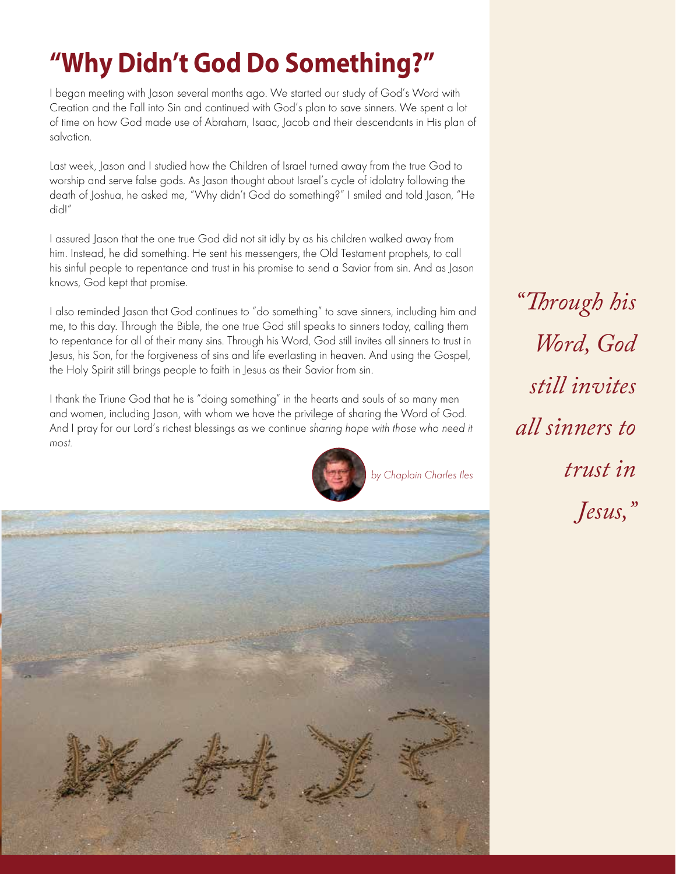### **"Why Didn't God Do Something?"**

I began meeting with Jason several months ago. We started our study of God's Word with Creation and the Fall into Sin and continued with God's plan to save sinners. We spent a lot of time on how God made use of Abraham, Isaac, Jacob and their descendants in His plan of salvation.

Last week, Jason and I studied how the Children of Israel turned away from the true God to worship and serve false gods. As Jason thought about Israel's cycle of idolatry following the death of Joshua, he asked me, "Why didn't God do something?" I smiled and told Jason, "He did!"

I assured Jason that the one true God did not sit idly by as his children walked away from him. Instead, he did something. He sent his messengers, the Old Testament prophets, to call his sinful people to repentance and trust in his promise to send a Savior from sin. And as Jason knows, God kept that promise.

I also reminded Jason that God continues to "do something" to save sinners, including him and me, to this day. Through the Bible, the one true God still speaks to sinners today, calling them to repentance for all of their many sins. Through his Word, God still invites all sinners to trust in Jesus, his Son, for the forgiveness of sins and life everlasting in heaven. And using the Gospel, the Holy Spirit still brings people to faith in Jesus as their Savior from sin.



I thank the Triune God that he is "doing something" in the hearts and souls of so many men and women, including Jason, with whom we have the privilege of sharing the Word of God. And I pray for our Lord's richest blessings as we continue sharing hope with those who need it most.



*"Through his Word, God still invites all sinners to trust in Jesus,"*